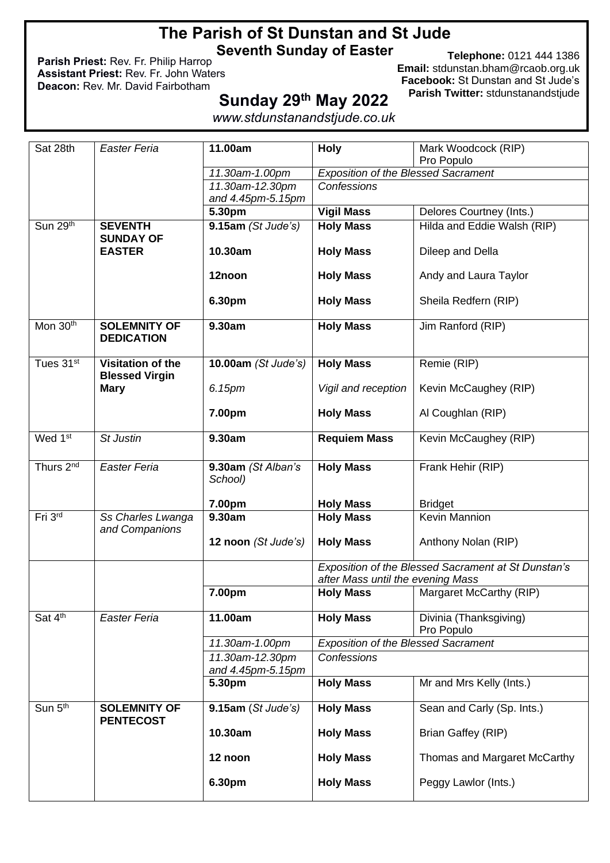# **The Parish of St Dunstan and St Jude Seventh Sunday of Easter**

**Parish Priest:** Rev. Fr. Philip Harrop **Assistant Priest:** Rev. Fr. John Waters **Deacon:** Rev. Mr. David Fairbotham

**Telephone:** 0121 444 1386 **Email:** [stdunstan.bham@rcaob.org.uk](mailto:stdunstan.bham@rcaob.org.uk) **Facebook:** St Dunstan and St Jude's **Parish Twitter:** stdunstanandstjude

# **Sunday 29 th May 2022**

*www.stdunstanandstjude.co.uk*

| Sat 28th              | Easter Feria                               | 11.00am                              | <b>Holy</b>                                | Mark Woodcock (RIP)                                 |
|-----------------------|--------------------------------------------|--------------------------------------|--------------------------------------------|-----------------------------------------------------|
|                       |                                            |                                      |                                            | Pro Populo                                          |
|                       |                                            | 11.30am-1.00pm                       | <b>Exposition of the Blessed Sacrament</b> |                                                     |
|                       |                                            | 11.30am-12.30pm<br>and 4.45pm-5.15pm | Confessions                                |                                                     |
|                       |                                            | 5.30pm                               | <b>Vigil Mass</b>                          | Delores Courtney (Ints.)                            |
| Sun $29th$            | <b>SEVENTH</b>                             | 9.15am (St Jude's)                   | <b>Holy Mass</b>                           | Hilda and Eddie Walsh (RIP)                         |
|                       | <b>SUNDAY OF</b>                           |                                      |                                            |                                                     |
|                       | <b>EASTER</b>                              | 10.30am                              | <b>Holy Mass</b>                           | Dileep and Della                                    |
|                       |                                            | 12noon                               | <b>Holy Mass</b>                           | Andy and Laura Taylor                               |
|                       |                                            | 6.30pm                               | <b>Holy Mass</b>                           | Sheila Redfern (RIP)                                |
| Mon 30th              | <b>SOLEMNITY OF</b><br><b>DEDICATION</b>   | 9.30am                               | <b>Holy Mass</b>                           | Jim Ranford (RIP)                                   |
| Tues 31st             | Visitation of the<br><b>Blessed Virgin</b> | 10.00am (St Jude's)                  | <b>Holy Mass</b>                           | Remie (RIP)                                         |
|                       | <b>Mary</b>                                | 6.15pm                               | Vigil and reception                        | Kevin McCaughey (RIP)                               |
|                       |                                            | 7.00pm                               | <b>Holy Mass</b>                           | Al Coughlan (RIP)                                   |
| Wed 1 <sup>st</sup>   | <b>St Justin</b>                           | 9.30am                               | <b>Requiem Mass</b>                        | Kevin McCaughey (RIP)                               |
| Thurs 2 <sup>nd</sup> | Easter Feria                               | 9.30am (St Alban's<br>School)        | <b>Holy Mass</b>                           | Frank Hehir (RIP)                                   |
|                       |                                            | 7.00pm                               | <b>Holy Mass</b>                           | <b>Bridget</b>                                      |
| Fri 3rd               | Ss Charles Lwanga                          | 9.30am                               | <b>Holy Mass</b>                           | Kevin Mannion                                       |
|                       | and Companions                             | 12 noon (St Jude's)                  | <b>Holy Mass</b>                           | Anthony Nolan (RIP)                                 |
|                       |                                            |                                      |                                            | Exposition of the Blessed Sacrament at St Dunstan's |
|                       |                                            |                                      | after Mass until the evening Mass          |                                                     |
|                       |                                            | 7.00pm                               | <b>Holy Mass</b>                           | Margaret McCarthy (RIP)                             |
| Sat 4th               | <b>Easter Feria</b>                        | 11.00am                              | <b>Holy Mass</b>                           | Divinia (Thanksgiving)<br>Pro Populo                |
|                       |                                            | 11.30am-1.00pm                       | <b>Exposition of the Blessed Sacrament</b> |                                                     |
|                       |                                            | 11.30am-12.30pm<br>and 4.45pm-5.15pm | Confessions                                |                                                     |
|                       |                                            | 5.30pm                               | <b>Holy Mass</b>                           | Mr and Mrs Kelly (Ints.)                            |
| Sun 5th               | <b>SOLEMNITY OF</b><br><b>PENTECOST</b>    | 9.15am(St Jude's)                    | <b>Holy Mass</b>                           | Sean and Carly (Sp. Ints.)                          |
|                       |                                            | 10.30am                              | <b>Holy Mass</b>                           | Brian Gaffey (RIP)                                  |
|                       |                                            | 12 noon                              | <b>Holy Mass</b>                           | Thomas and Margaret McCarthy                        |
|                       |                                            | 6.30pm                               | <b>Holy Mass</b>                           | Peggy Lawlor (Ints.)                                |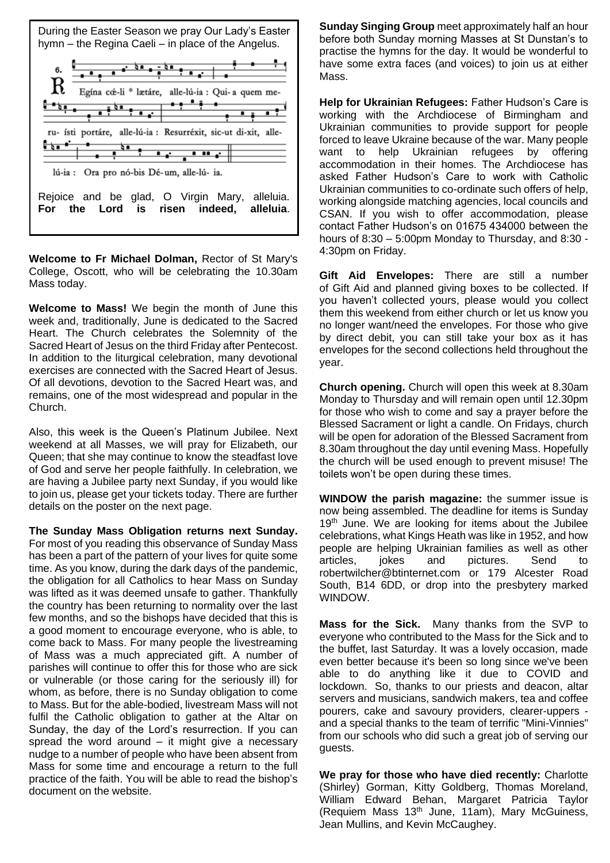

**Welcome to Fr Michael Dolman,** [Rector of St Mary's](http://oscott.net/)  [College, Oscott,](http://oscott.net/) who will be celebrating the 10.30am Mass today.

**Welcome to Mass!** We begin the month of June this week and, traditionally, June is dedicated to the Sacred Heart. The Church celebrates the Solemnity of the Sacred Heart of Jesus on the third Friday after Pentecost. In addition to the liturgical celebration, many devotional exercises are connected with the Sacred Heart of Jesus. Of all devotions, devotion to the Sacred Heart was, and remains, one of the most widespread and popular in the Church.

Also, this week is the Queen's Platinum Jubilee. Next weekend at all Masses, we will pray for Elizabeth, our Queen; that she may continue to know the steadfast love of God and serve her people faithfully. In celebration, we are having a Jubilee party next Sunday, if you would like to join us, please get your tickets today. There are further details on the poster on the next page.

**The Sunday Mass Obligation returns next Sunday.**  For most of you reading this observance of Sunday Mass has been a part of the pattern of your lives for quite some time. As you know, during the dark days of the pandemic, the obligation for all Catholics to hear Mass on Sunday was lifted as it was deemed unsafe to gather. Thankfully the country has been returning to normality over the last few months, and so the bishops have decided that this is a good moment to encourage everyone, who is able, to come back to Mass. For many people the livestreaming of Mass was a much appreciated gift. A number of parishes will continue to offer this for those who are sick or vulnerable (or those caring for the seriously ill) for whom, as before, there is no Sunday obligation to come to Mass. But for the able-bodied, livestream Mass will not fulfil the Catholic obligation to gather at the Altar on Sunday, the day of the Lord's resurrection. If you can spread the word around  $-$  it might give a necessary nudge to a number of people who have been absent from Mass for some time and encourage a return to the full practice of the faith. You will be able to read the bishop's document on the website.

**Sunday Singing Group** meet approximately half an hour before both Sunday morning Masses at St Dunstan's to practise the hymns for the day. It would be wonderful to have some extra faces (and voices) to join us at either Mass.

**Help for Ukrainian Refugees:** Father Hudson's Care is working with the Archdiocese of Birmingham and Ukrainian communities to provide support for people forced to leave Ukraine because of the war. Many people want to help Ukrainian refugees by offering accommodation in their homes. The Archdiocese has asked Father Hudson's Care to work with Catholic Ukrainian communities to co-ordinate such offers of help, working alongside matching agencies, local councils and CSAN. If you wish to offer accommodation, please contact Father Hudson's on 01675 434000 between the hours of  $8:30 - 5:00$ pm Monday to Thursday, and  $8:30 - 5:00$ 4:30pm on Friday.

**Gift Aid Envelopes:** There are still a number of Gift Aid and planned giving boxes to be collected. If you haven't collected yours, please would you collect them this weekend from either church or let us know you no longer want/need the envelopes. For those who give by direct debit, you can still take your box as it has envelopes for the second collections held throughout the year.

**Church opening.** Church will open this week at 8.30am Monday to Thursday and will remain open until 12.30pm for those who wish to come and say a prayer before the Blessed Sacrament or light a candle. On Fridays, church will be open for adoration of the Blessed Sacrament from 8.30am throughout the day until evening Mass. Hopefully the church will be used enough to prevent misuse! The toilets won't be open during these times.

**WINDOW the parish magazine:** the summer issue is now being assembled. The deadline for items is Sunday  $19<sup>th</sup>$  June. We are looking for items about the Jubilee celebrations, what Kings Heath was like in 1952, and how people are helping Ukrainian families as well as other articles, jokes and pictures. Send to [robertwilcher@btinternet.com](mailto:robertwilcher@btinternet.com) or 179 Alcester Road South, B14 6DD, or drop into the presbytery marked WINDOW.

**Mass for the Sick.** Many thanks from the SVP to everyone who contributed to the Mass for the Sick and to the buffet, last Saturday. It was a lovely occasion, made even better because it's been so long since we've been able to do anything like it due to COVID and lockdown. So, thanks to our priests and deacon, altar servers and musicians, sandwich makers, tea and coffee pourers, cake and savoury providers, clearer-uppers and a special thanks to the team of terrific "Mini-Vinnies" from our schools who did such a great job of serving our guests.

**We pray for those who have died recently:** Charlotte (Shirley) Gorman, Kitty Goldberg, Thomas Moreland, William Edward Behan, Margaret Patricia Taylor (Requiem Mass  $13<sup>th</sup>$  June, 11am), Mary McGuiness, Jean Mullins, and Kevin McCaughey.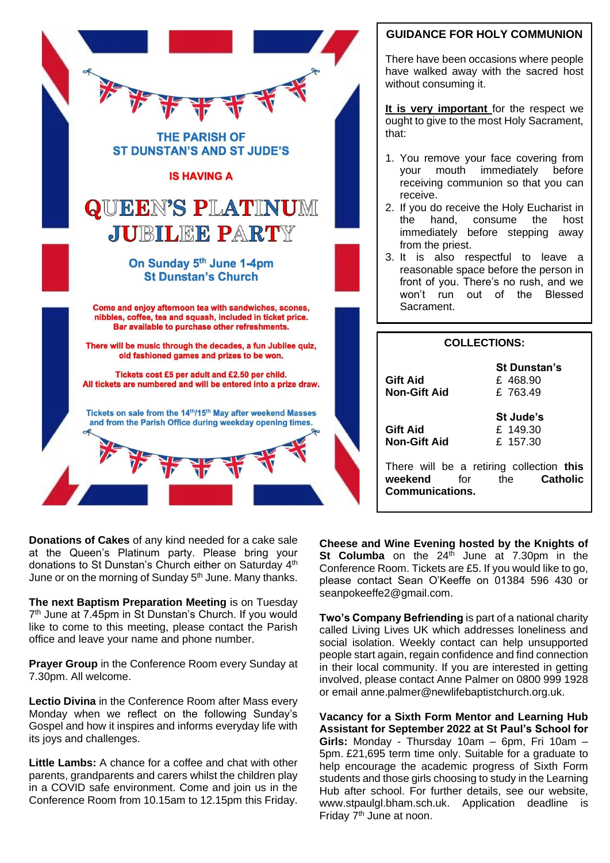

## **GUIDANCE FOR HOLY COMMUNION**

There have been occasions where people have walked away with the sacred host without consuming it.

**It is very important** for the respect we ought to give to the most Holy Sacrament, that:

- 1. You remove your face covering from your mouth immediately before receiving communion so that you can receive.
- 2. If you do receive the Holy Eucharist in the hand, consume the host immediately before stepping away from the priest.
- 3. It is also respectful to leave a reasonable space before the person in front of you. There's no rush, and we won't run out of the Blessed Sacrament.

| <b>COLLECTIONS:</b>                                                                                            |  |  |  |  |
|----------------------------------------------------------------------------------------------------------------|--|--|--|--|
| <b>St Dunstan's</b>                                                                                            |  |  |  |  |
| <b>Gift Aid</b><br>£468.90                                                                                     |  |  |  |  |
| <b>Non-Gift Aid</b><br>£763.49                                                                                 |  |  |  |  |
| St Jude's                                                                                                      |  |  |  |  |
| <b>Gift Aid</b><br>£ 149.30                                                                                    |  |  |  |  |
| <b>Non-Gift Aid</b><br>£ 157.30                                                                                |  |  |  |  |
| There will be a retiring collection this<br>weekend<br><b>Catholic</b><br>the<br>for<br><b>Communications.</b> |  |  |  |  |
|                                                                                                                |  |  |  |  |

**Donations of Cakes** of any kind needed for a cake sale at the Queen's Platinum party. Please bring your donations to St Dunstan's Church either on Saturday 4<sup>th</sup> June or on the morning of Sunday 5<sup>th</sup> June. Many thanks.

**The next Baptism Preparation Meeting** is on Tuesday 7 th June at 7.45pm in St Dunstan's Church. If you would like to come to this meeting, please contact the Parish office and leave your name and phone number.

**Prayer Group** in the Conference Room every Sunday at 7.30pm. All welcome.

**Lectio Divina** in the Conference Room after Mass every Monday when we reflect on the following Sunday's Gospel and how it inspires and informs everyday life with its joys and challenges.

**Little Lambs:** A chance for a coffee and chat with other parents, grandparents and carers whilst the children play in a COVID safe environment. Come and join us in the Conference Room from 10.15am to 12.15pm this Friday.

**Cheese and Wine Evening hosted by the Knights of St Columba** on the 24<sup>th</sup> June at 7.30pm in the Conference Room. Tickets are £5. If you would like to go, please contact Sean O'Keeffe on 01384 596 430 or seanpokeeffe2@gmail.com.

**Two's Company Befriending** is part of a national charity called Living Lives UK which addresses loneliness and social isolation. Weekly contact can help unsupported people start again, regain confidence and find connection in their local community. If you are interested in getting involved, please contact Anne Palmer on 0800 999 1928 or email [anne.palmer@newlifebaptistchurch.org.uk.](mailto:anne.palmer@newlifebaptistchurch.org.uk)

**Vacancy for a Sixth Form Mentor and Learning Hub Assistant for September 2022 at St Paul's School for Girls:** Monday - Thursday 10am – 6pm, Fri 10am – 5pm. £21,695 term time only. Suitable for a graduate to help encourage the academic progress of Sixth Form students and those girls choosing to study in the Learning Hub after school. For further details, see our website, www.stpaulgl.bham.sch.uk. Application deadline is Friday 7<sup>th</sup> June at noon.